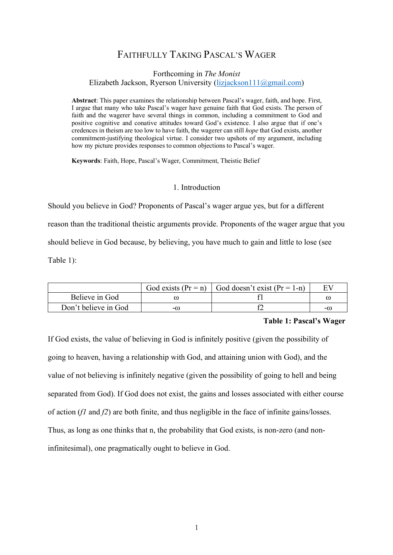# FAITHFULLY TAKING PASCAL'S WAGER

## Forthcoming in *The Monist* Elizabeth Jackson, Ryerson University (lizjackson111@gmail.com)

**Abstract**: This paper examines the relationship between Pascal's wager, faith, and hope. First, I argue that many who take Pascal's wager have genuine faith that God exists. The person of faith and the wagerer have several things in common, including a commitment to God and positive cognitive and conative attitudes toward God's existence. I also argue that if one's credences in theism are too low to have faith, the wagerer can still *hope* that God exists, another commitment-justifying theological virtue. I consider two upshots of my argument, including how my picture provides responses to common objections to Pascal's wager.

**Keywords**: Faith, Hope, Pascal's Wager, Commitment, Theistic Belief

## 1. Introduction

Should you believe in God? Proponents of Pascal's wager argue yes, but for a different reason than the traditional theistic arguments provide. Proponents of the wager argue that you should believe in God because, by believing, you have much to gain and little to lose (see Table 1):

|                      |    | God exists $(Pr = n)$   God doesn't exist $(Pr = 1-n)$ |          |
|----------------------|----|--------------------------------------------------------|----------|
| Believe in God       |    |                                                        | $\omega$ |
| Don't believe in God | -0 |                                                        | $-(i)$   |

## **Table 1: Pascal's Wager**

If God exists, the value of believing in God is infinitely positive (given the possibility of going to heaven, having a relationship with God, and attaining union with God), and the value of not believing is infinitely negative (given the possibility of going to hell and being separated from God). If God does not exist, the gains and losses associated with either course of action (*f1* and *f2*) are both finite, and thus negligible in the face of infinite gains/losses. Thus, as long as one thinks that n, the probability that God exists, is non-zero (and noninfinitesimal), one pragmatically ought to believe in God.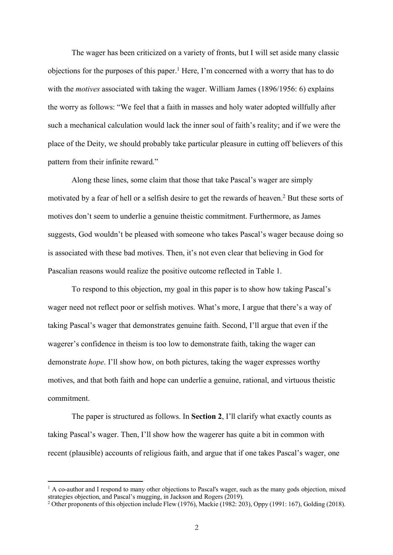The wager has been criticized on a variety of fronts, but I will set aside many classic objections for the purposes of this paper. <sup>1</sup> Here, I'm concerned with a worry that has to do with the *motives* associated with taking the wager. William James (1896/1956: 6) explains the worry as follows: "We feel that a faith in masses and holy water adopted willfully after such a mechanical calculation would lack the inner soul of faith's reality; and if we were the place of the Deity, we should probably take particular pleasure in cutting off believers of this pattern from their infinite reward."

Along these lines, some claim that those that take Pascal's wager are simply motivated by a fear of hell or a selfish desire to get the rewards of heaven.2 But these sorts of motives don't seem to underlie a genuine theistic commitment. Furthermore, as James suggests, God wouldn't be pleased with someone who takes Pascal's wager because doing so is associated with these bad motives. Then, it's not even clear that believing in God for Pascalian reasons would realize the positive outcome reflected in Table 1.

To respond to this objection, my goal in this paper is to show how taking Pascal's wager need not reflect poor or selfish motives. What's more, I argue that there's a way of taking Pascal's wager that demonstrates genuine faith. Second, I'll argue that even if the wagerer's confidence in theism is too low to demonstrate faith, taking the wager can demonstrate *hope*. I'll show how, on both pictures, taking the wager expresses worthy motives, and that both faith and hope can underlie a genuine, rational, and virtuous theistic commitment.

The paper is structured as follows. In **Section 2**, I'll clarify what exactly counts as taking Pascal's wager. Then, I'll show how the wagerer has quite a bit in common with recent (plausible) accounts of religious faith, and argue that if one takes Pascal's wager, one

<sup>&</sup>lt;sup>1</sup> A co-author and I respond to many other objections to Pascal's wager, such as the many gods objection, mixed strategies objection, and Pascal's mugging, in Jackson and Rogers (2019).

<sup>2</sup> Other proponents of this objection include Flew (1976), Mackie (1982: 203), Oppy (1991: 167), Golding (2018).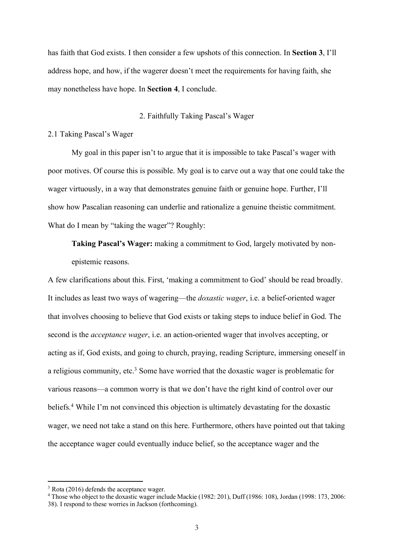has faith that God exists. I then consider a few upshots of this connection. In **Section 3**, I'll address hope, and how, if the wagerer doesn't meet the requirements for having faith, she may nonetheless have hope. In **Section 4**, I conclude.

#### 2. Faithfully Taking Pascal's Wager

## 2.1 Taking Pascal's Wager

My goal in this paper isn't to argue that it is impossible to take Pascal's wager with poor motives. Of course this is possible. My goal is to carve out a way that one could take the wager virtuously, in a way that demonstrates genuine faith or genuine hope. Further, I'll show how Pascalian reasoning can underlie and rationalize a genuine theistic commitment. What do I mean by "taking the wager"? Roughly:

**Taking Pascal's Wager:** making a commitment to God, largely motivated by nonepistemic reasons.

A few clarifications about this. First, 'making a commitment to God' should be read broadly. It includes as least two ways of wagering—the *doxastic wager*, i.e. a belief-oriented wager that involves choosing to believe that God exists or taking steps to induce belief in God. The second is the *acceptance wager*, i.e. an action-oriented wager that involves accepting, or acting as if, God exists, and going to church, praying, reading Scripture, immersing oneself in a religious community, etc. <sup>3</sup> Some have worried that the doxastic wager is problematic for various reasons—a common worry is that we don't have the right kind of control over our beliefs.<sup>4</sup> While I'm not convinced this objection is ultimately devastating for the doxastic wager, we need not take a stand on this here. Furthermore, others have pointed out that taking the acceptance wager could eventually induce belief, so the acceptance wager and the

<sup>&</sup>lt;sup>3</sup> Rota (2016) defends the acceptance wager

<sup>4</sup> Those who object to the doxastic wager include Mackie (1982: 201), Duff (1986: 108), Jordan (1998: 173, 2006: 38). I respond to these worries in Jackson (forthcoming).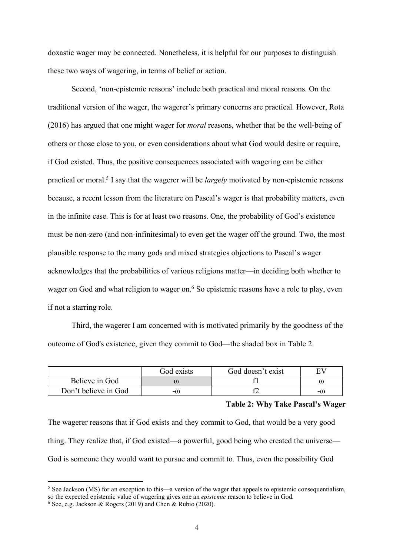doxastic wager may be connected. Nonetheless, it is helpful for our purposes to distinguish these two ways of wagering, in terms of belief or action.

Second, 'non-epistemic reasons' include both practical and moral reasons. On the traditional version of the wager, the wagerer's primary concerns are practical. However, Rota (2016) has argued that one might wager for *moral* reasons, whether that be the well-being of others or those close to you, or even considerations about what God would desire or require, if God existed. Thus, the positive consequences associated with wagering can be either practical or moral.5 I say that the wagerer will be *largely* motivated by non-epistemic reasons because, a recent lesson from the literature on Pascal's wager is that probability matters, even in the infinite case. This is for at least two reasons. One, the probability of God's existence must be non-zero (and non-infinitesimal) to even get the wager off the ground. Two, the most plausible response to the many gods and mixed strategies objections to Pascal's wager acknowledges that the probabilities of various religions matter—in deciding both whether to wager on God and what religion to wager on.<sup>6</sup> So epistemic reasons have a role to play, even if not a starring role.

Third, the wagerer I am concerned with is motivated primarily by the goodness of the outcome of God's existence, given they commit to God—the shaded box in Table 2.

|                      | God exists | God doesn't exist |         |
|----------------------|------------|-------------------|---------|
| Believe in God       | ω          |                   |         |
| Don't believe in God | -0         |                   | $-$ (!) |

## **Table 2: Why Take Pascal's Wager**

The wagerer reasons that if God exists and they commit to God, that would be a very good thing. They realize that, if God existed—a powerful, good being who created the universe— God is someone they would want to pursue and commit to. Thus, even the possibility God

 $<sup>5</sup>$  See Jackson (MS) for an exception to this—a version of the wager that appeals to epistemic consequentialism.</sup> so the expected epistemic value of wagering gives one an *epistemic* reason to believe in God. 6 See, e.g. Jackson & Rogers (2019) and Chen & Rubio (2020).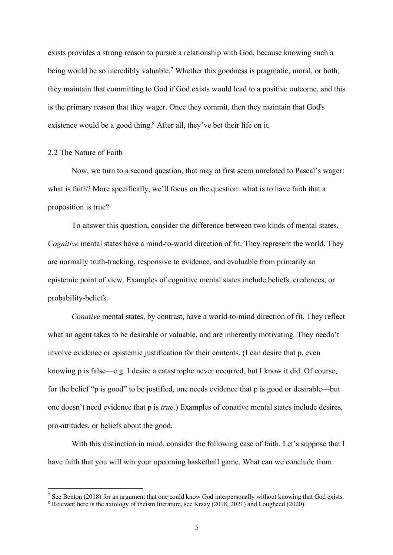exists provides a strong reason to pursue a relationship with God, because knowing such a being would be so incredibly valuable.<sup>7</sup> Whether this goodness is pragmatic, moral, or both, they maintain that committing to God if God exists would lead to a positive outcome, and this is the primary reason that they wager. Once they commit, then they maintain that God's existence would be a good thing.<sup>8</sup> After all, they've bet their life on it.

# 2.2 The Nature of Faith

 $\overline{a}$ 

Now, we turn to a second question, that may at first seem unrelated to Pascal's wager: what is faith? More specifically, we'll focus on the question: what is to have faith that a proposition is true?

To answer this question, consider the difference between two kinds of mental states. *Cognitive* mental states have a mind-to-world direction of fit. They represent the world. They are normally truth-tracking, responsive to evidence, and evaluable from primarily an epistemic point of view. Examples of cognitive mental states include beliefs, credences, or probability-beliefs.

*Conative* mental states, by contrast, have a world-to-mind direction of fit. They reflect what an agent takes to be desirable or valuable, and are inherently motivating. They needn't involve evidence or epistemic justification for their contents. (I can desire that p, even knowing p is false—e.g. I desire a catastrophe never occurred, but I know it did. Of course, for the belief "p is good" to be justified, one needs evidence that p is good or desirable—but one doesn't need evidence that p is *true*.) Examples of conative mental states include desires, pro-attitudes, or beliefs about the good.

With this distinction in mind, consider the following case of faith. Let's suppose that I have faith that you will win your upcoming basketball game. What can we conclude from

<sup>&</sup>lt;sup>7</sup> See Benton (2018) for an argument that one could know God interpersonally without knowing that God exists.

<sup>8</sup> Relevant here is the axiology of theism literature, see Kraay (2018, 2021) and Lougheed (2020).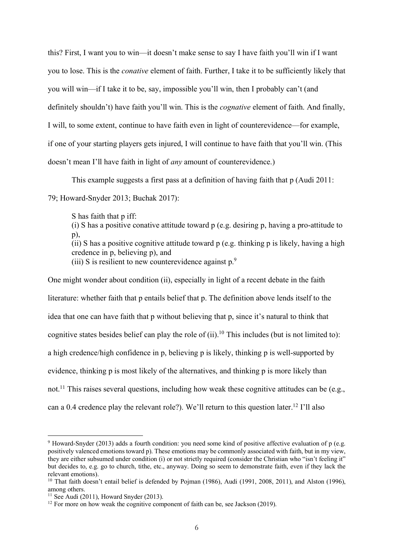this? First, I want you to win—it doesn't make sense to say I have faith you'll win if I want you to lose. This is the *conative* element of faith. Further, I take it to be sufficiently likely that you will win—if I take it to be, say, impossible you'll win, then I probably can't (and definitely shouldn't) have faith you'll win. This is the *cognative* element of faith. And finally, I will, to some extent, continue to have faith even in light of counterevidence—for example, if one of your starting players gets injured, I will continue to have faith that you'll win. (This doesn't mean I'll have faith in light of *any* amount of counterevidence.)

This example suggests a first pass at a definition of having faith that p (Audi 2011:

79; Howard-Snyder 2013; Buchak 2017):

S has faith that p iff: (i) S has a positive conative attitude toward p (e.g. desiring p, having a pro-attitude to p), (ii) S has a positive cognitive attitude toward p (e.g. thinking p is likely, having a high credence in p, believing p), and (iii) S is resilient to new counterevidence against  $p^9$ .

One might wonder about condition (ii), especially in light of a recent debate in the faith literature: whether faith that p entails belief that p. The definition above lends itself to the idea that one can have faith that p without believing that p, since it's natural to think that cognitive states besides belief can play the role of  $(ii)$ .<sup>10</sup> This includes (but is not limited to): a high credence/high confidence in p, believing p is likely, thinking p is well-supported by evidence, thinking p is most likely of the alternatives, and thinking p is more likely than not.<sup>11</sup> This raises several questions, including how weak these cognitive attitudes can be (e.g., can a 0.4 credence play the relevant role?). We'll return to this question later.12 I'll also

<sup>9</sup> Howard-Snyder (2013) adds a fourth condition: you need some kind of positive affective evaluation of p (e.g. positively valenced emotions toward p). These emotions may be commonly associated with faith, but in my view, they are either subsumed under condition (i) or not strictly required (consider the Christian who "isn't feeling it" but decides to, e.g. go to church, tithe, etc., anyway. Doing so seem to demonstrate faith, even if they lack the relevant emotions).

<sup>&</sup>lt;sup>10</sup> That faith doesn't entail belief is defended by Pojman (1986), Audi (1991, 2008, 2011), and Alston (1996), among others.

<sup>&</sup>lt;sup>11</sup> See Audi (2011), Howard Snyder (2013).

<sup>&</sup>lt;sup>12</sup> For more on how weak the cognitive component of faith can be, see Jackson (2019).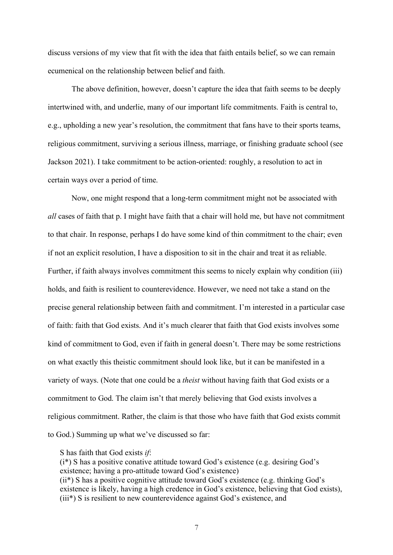discuss versions of my view that fit with the idea that faith entails belief, so we can remain ecumenical on the relationship between belief and faith.

The above definition, however, doesn't capture the idea that faith seems to be deeply intertwined with, and underlie, many of our important life commitments. Faith is central to, e.g., upholding a new year's resolution, the commitment that fans have to their sports teams, religious commitment, surviving a serious illness, marriage, or finishing graduate school (see Jackson 2021). I take commitment to be action-oriented: roughly, a resolution to act in certain ways over a period of time.

Now, one might respond that a long-term commitment might not be associated with *all* cases of faith that p. I might have faith that a chair will hold me, but have not commitment to that chair. In response, perhaps I do have some kind of thin commitment to the chair; even if not an explicit resolution, I have a disposition to sit in the chair and treat it as reliable. Further, if faith always involves commitment this seems to nicely explain why condition (iii) holds, and faith is resilient to counterevidence. However, we need not take a stand on the precise general relationship between faith and commitment. I'm interested in a particular case of faith: faith that God exists. And it's much clearer that faith that God exists involves some kind of commitment to God, even if faith in general doesn't. There may be some restrictions on what exactly this theistic commitment should look like, but it can be manifested in a variety of ways. (Note that one could be a *theist* without having faith that God exists or a commitment to God. The claim isn't that merely believing that God exists involves a religious commitment. Rather, the claim is that those who have faith that God exists commit to God.) Summing up what we've discussed so far:

S has faith that God exists *if*:

(i\*) S has a positive conative attitude toward God's existence (e.g. desiring God's existence; having a pro-attitude toward God's existence) (ii\*) S has a positive cognitive attitude toward God's existence (e.g. thinking God's existence is likely, having a high credence in God's existence, believing that God exists), (iii\*) S is resilient to new counterevidence against God's existence, and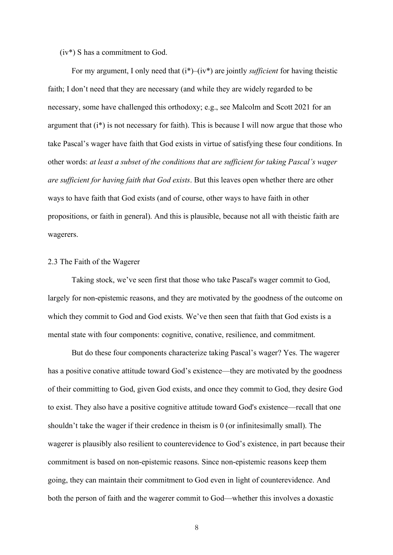(iv\*) S has a commitment to God.

For my argument, I only need that (i\*)–(iv\*) are jointly *sufficient* for having theistic faith; I don't need that they are necessary (and while they are widely regarded to be necessary, some have challenged this orthodoxy; e.g., see Malcolm and Scott 2021 for an argument that  $(i^*)$  is not necessary for faith). This is because I will now argue that those who take Pascal's wager have faith that God exists in virtue of satisfying these four conditions. In other words: *at least a subset of the conditions that are sufficient for taking Pascal's wager are sufficient for having faith that God exists*. But this leaves open whether there are other ways to have faith that God exists (and of course, other ways to have faith in other propositions, or faith in general). And this is plausible, because not all with theistic faith are wagerers.

## 2.3 The Faith of the Wagerer

Taking stock, we've seen first that those who take Pascal's wager commit to God, largely for non-epistemic reasons, and they are motivated by the goodness of the outcome on which they commit to God and God exists. We've then seen that faith that God exists is a mental state with four components: cognitive, conative, resilience, and commitment.

But do these four components characterize taking Pascal's wager? Yes. The wagerer has a positive conative attitude toward God's existence—they are motivated by the goodness of their committing to God, given God exists, and once they commit to God, they desire God to exist. They also have a positive cognitive attitude toward God's existence—recall that one shouldn't take the wager if their credence in theism is 0 (or infinitesimally small). The wagerer is plausibly also resilient to counterevidence to God's existence, in part because their commitment is based on non-epistemic reasons. Since non-epistemic reasons keep them going, they can maintain their commitment to God even in light of counterevidence. And both the person of faith and the wagerer commit to God—whether this involves a doxastic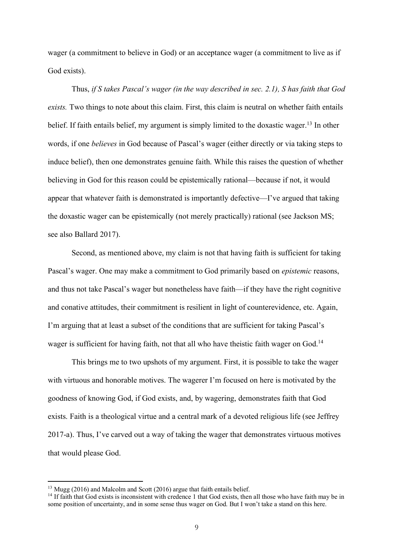wager (a commitment to believe in God) or an acceptance wager (a commitment to live as if God exists).

Thus, *if S takes Pascal's wager (in the way described in sec. 2.1), S has faith that God exists.* Two things to note about this claim. First, this claim is neutral on whether faith entails belief. If faith entails belief, my argument is simply limited to the doxastic wager.<sup>13</sup> In other words, if one *believes* in God because of Pascal's wager (either directly or via taking steps to induce belief), then one demonstrates genuine faith. While this raises the question of whether believing in God for this reason could be epistemically rational—because if not, it would appear that whatever faith is demonstrated is importantly defective—I've argued that taking the doxastic wager can be epistemically (not merely practically) rational (see Jackson MS; see also Ballard 2017).

Second, as mentioned above, my claim is not that having faith is sufficient for taking Pascal's wager. One may make a commitment to God primarily based on *epistemic* reasons, and thus not take Pascal's wager but nonetheless have faith—if they have the right cognitive and conative attitudes, their commitment is resilient in light of counterevidence, etc. Again, I'm arguing that at least a subset of the conditions that are sufficient for taking Pascal's wager is sufficient for having faith, not that all who have theistic faith wager on God.<sup>14</sup>

This brings me to two upshots of my argument. First, it is possible to take the wager with virtuous and honorable motives. The wagerer I'm focused on here is motivated by the goodness of knowing God, if God exists, and, by wagering, demonstrates faith that God exists. Faith is a theological virtue and a central mark of a devoted religious life (see Jeffrey 2017-a). Thus, I've carved out a way of taking the wager that demonstrates virtuous motives that would please God.

<sup>&</sup>lt;sup>13</sup> Mugg (2016) and Malcolm and Scott (2016) argue that faith entails belief.

 $14$  If faith that God exists is inconsistent with credence 1 that God exists, then all those who have faith may be in some position of uncertainty, and in some sense thus wager on God. But I won't take a stand on this here.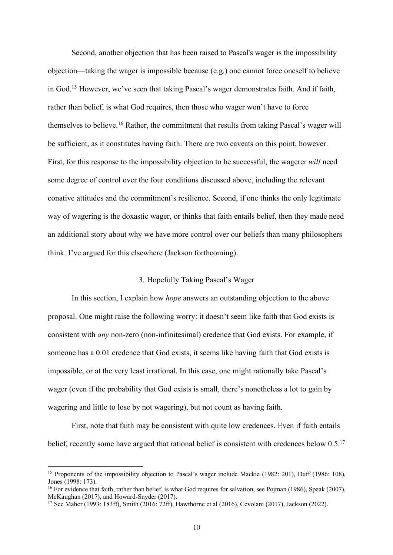Second, another objection that has been raised to Pascal's wager is the impossibility objection—taking the wager is impossible because (e.g.) one cannot force oneself to believe in God.15 However, we've seen that taking Pascal's wager demonstrates faith. And if faith, rather than belief, is what God requires, then those who wager won't have to force themselves to believe.16 Rather, the commitment that results from taking Pascal's wager will be sufficient, as it constitutes having faith. There are two caveats on this point, however. First, for this response to the impossibility objection to be successful, the wagerer *will* need some degree of control over the four conditions discussed above, including the relevant conative attitudes and the commitment's resilience. Second, if one thinks the only legitimate way of wagering is the doxastic wager, or thinks that faith entails belief, then they made need an additional story about why we have more control over our beliefs than many philosophers think. I've argued for this elsewhere (Jackson forthcoming).

## 3. Hopefully Taking Pascal's Wager

In this section, I explain how *hope* answers an outstanding objection to the above proposal. One might raise the following worry: it doesn't seem like faith that God exists is consistent with *any* non-zero (non-infinitesimal) credence that God exists. For example, if someone has a 0.01 credence that God exists, it seems like having faith that God exists is impossible, or at the very least irrational. In this case, one might rationally take Pascal's wager (even if the probability that God exists is small, there's nonetheless a lot to gain by wagering and little to lose by not wagering), but not count as having faith.

First, note that faith may be consistent with quite low credences. Even if faith entails belief, recently some have argued that rational belief is consistent with credences below 0.5.<sup>17</sup>

<sup>15</sup> Proponents of the impossibility objection to Pascal's wager include Mackie (1982: 201), Duff (1986: 108), Jones (1998: 173).

<sup>&</sup>lt;sup>16</sup> For evidence that faith, rather than belief, is what God requires for salvation, see Pojman (1986), Speak (2007), McKaughan (2017), and Howard-Snyder (2017).

 $^{17}$  See Maher (1993: 183ff), Smith (2016: 72ff), Hawthorne et al (2016), Cevolani (2017), Jackson (2022).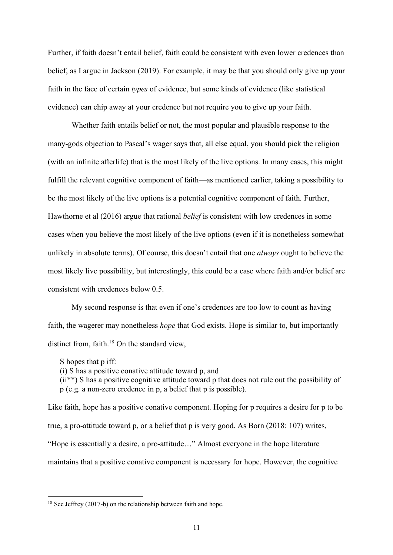Further, if faith doesn't entail belief, faith could be consistent with even lower credences than belief, as I argue in Jackson (2019). For example, it may be that you should only give up your faith in the face of certain *types* of evidence, but some kinds of evidence (like statistical evidence) can chip away at your credence but not require you to give up your faith.

Whether faith entails belief or not, the most popular and plausible response to the many-gods objection to Pascal's wager says that, all else equal, you should pick the religion (with an infinite afterlife) that is the most likely of the live options. In many cases, this might fulfill the relevant cognitive component of faith—as mentioned earlier, taking a possibility to be the most likely of the live options is a potential cognitive component of faith. Further, Hawthorne et al (2016) argue that rational *belief* is consistent with low credences in some cases when you believe the most likely of the live options (even if it is nonetheless somewhat unlikely in absolute terms). Of course, this doesn't entail that one *always* ought to believe the most likely live possibility, but interestingly, this could be a case where faith and/or belief are consistent with credences below 0.5.

My second response is that even if one's credences are too low to count as having faith, the wagerer may nonetheless *hope* that God exists. Hope is similar to, but importantly distinct from, faith. $18$  On the standard view,

S hopes that p iff:

 $\overline{a}$ 

(i) S has a positive conative attitude toward p, and

(ii\*\*) S has a positive cognitive attitude toward p that does not rule out the possibility of p (e.g. a non-zero credence in p, a belief that p is possible).

Like faith, hope has a positive conative component. Hoping for p requires a desire for p to be true, a pro-attitude toward p, or a belief that p is very good. As Born (2018: 107) writes, "Hope is essentially a desire, a pro-attitude…" Almost everyone in the hope literature maintains that a positive conative component is necessary for hope. However, the cognitive

<sup>&</sup>lt;sup>18</sup> See Jeffrey (2017-b) on the relationship between faith and hope.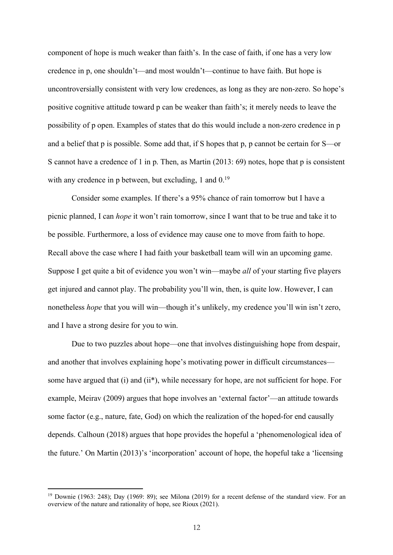component of hope is much weaker than faith's. In the case of faith, if one has a very low credence in p, one shouldn't—and most wouldn't—continue to have faith. But hope is uncontroversially consistent with very low credences, as long as they are non-zero. So hope's positive cognitive attitude toward p can be weaker than faith's; it merely needs to leave the possibility of p open. Examples of states that do this would include a non-zero credence in p and a belief that p is possible. Some add that, if S hopes that p, p cannot be certain for S—or S cannot have a credence of 1 in p. Then, as Martin (2013: 69) notes, hope that p is consistent with any credence in p between, but excluding, 1 and 0.<sup>19</sup>

Consider some examples. If there's a 95% chance of rain tomorrow but I have a picnic planned, I can *hope* it won't rain tomorrow, since I want that to be true and take it to be possible. Furthermore, a loss of evidence may cause one to move from faith to hope. Recall above the case where I had faith your basketball team will win an upcoming game. Suppose I get quite a bit of evidence you won't win—maybe *all* of your starting five players get injured and cannot play. The probability you'll win, then, is quite low. However, I can nonetheless *hope* that you will win—though it's unlikely, my credence you'll win isn't zero, and I have a strong desire for you to win.

Due to two puzzles about hope—one that involves distinguishing hope from despair, and another that involves explaining hope's motivating power in difficult circumstances some have argued that (i) and (ii\*), while necessary for hope, are not sufficient for hope. For example, Meirav (2009) argues that hope involves an 'external factor'—an attitude towards some factor (e.g., nature, fate, God) on which the realization of the hoped-for end causally depends. Calhoun (2018) argues that hope provides the hopeful a 'phenomenological idea of the future.' On Martin (2013)'s 'incorporation' account of hope, the hopeful take a 'licensing

<sup>&</sup>lt;sup>19</sup> Downie (1963: 248); Day (1969: 89); see Milona (2019) for a recent defense of the standard view. For an overview of the nature and rationality of hope, see Rioux (2021).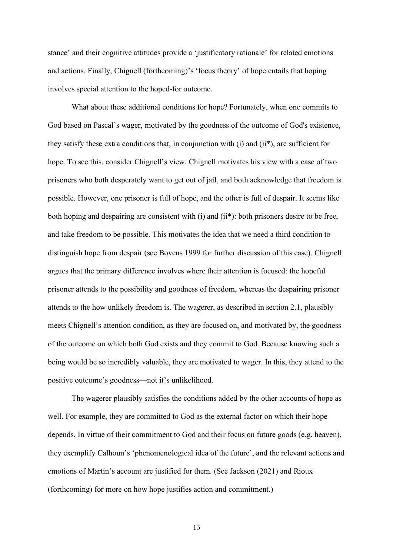stance' and their cognitive attitudes provide a 'justificatory rationale' for related emotions and actions. Finally, Chignell (forthcoming)'s 'focus theory' of hope entails that hoping involves special attention to the hoped-for outcome.

What about these additional conditions for hope? Fortunately, when one commits to God based on Pascal's wager, motivated by the goodness of the outcome of God's existence, they satisfy these extra conditions that, in conjunction with (i) and (ii\*), are sufficient for hope. To see this, consider Chignell's view. Chignell motivates his view with a case of two prisoners who both desperately want to get out of jail, and both acknowledge that freedom is possible. However, one prisoner is full of hope, and the other is full of despair. It seems like both hoping and despairing are consistent with (i) and (ii\*): both prisoners desire to be free, and take freedom to be possible. This motivates the idea that we need a third condition to distinguish hope from despair (see Bovens 1999 for further discussion of this case). Chignell argues that the primary difference involves where their attention is focused: the hopeful prisoner attends to the possibility and goodness of freedom, whereas the despairing prisoner attends to the how unlikely freedom is. The wagerer, as described in section 2.1, plausibly meets Chignell's attention condition, as they are focused on, and motivated by, the goodness of the outcome on which both God exists and they commit to God. Because knowing such a being would be so incredibly valuable, they are motivated to wager. In this, they attend to the positive outcome's goodness—not it's unlikelihood.

The wagerer plausibly satisfies the conditions added by the other accounts of hope as well. For example, they are committed to God as the external factor on which their hope depends. In virtue of their commitment to God and their focus on future goods (e.g. heaven), they exemplify Calhoun's 'phenomenological idea of the future', and the relevant actions and emotions of Martin's account are justified for them. (See Jackson (2021) and Rioux (forthcoming) for more on how hope justifies action and commitment.)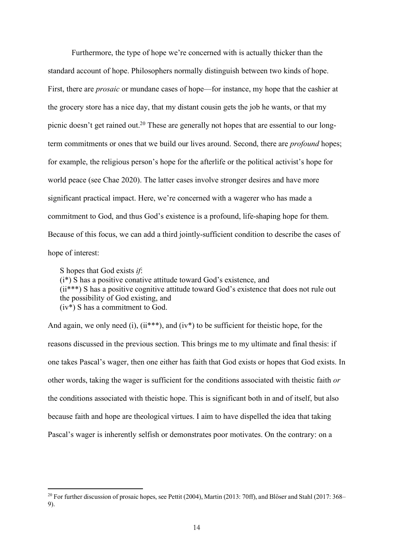Furthermore, the type of hope we're concerned with is actually thicker than the standard account of hope. Philosophers normally distinguish between two kinds of hope. First, there are *prosaic* or mundane cases of hope—for instance, my hope that the cashier at the grocery store has a nice day, that my distant cousin gets the job he wants, or that my picnic doesn't get rained out.20 These are generally not hopes that are essential to our longterm commitments or ones that we build our lives around. Second, there are *profound* hopes; for example, the religious person's hope for the afterlife or the political activist's hope for world peace (see Chae 2020). The latter cases involve stronger desires and have more significant practical impact. Here, we're concerned with a wagerer who has made a commitment to God, and thus God's existence is a profound, life-shaping hope for them. Because of this focus, we can add a third jointly-sufficient condition to describe the cases of hope of interest:

S hopes that God exists *if*:

 $\overline{a}$ 

(i\*) S has a positive conative attitude toward God's existence, and (ii\*\*\*) S has a positive cognitive attitude toward God's existence that does not rule out the possibility of God existing, and (iv\*) S has a commitment to God.

And again, we only need (i),  $(ii***)$ , and  $(iv*)$  to be sufficient for theistic hope, for the reasons discussed in the previous section. This brings me to my ultimate and final thesis: if one takes Pascal's wager, then one either has faith that God exists or hopes that God exists. In other words, taking the wager is sufficient for the conditions associated with theistic faith *or* the conditions associated with theistic hope. This is significant both in and of itself, but also because faith and hope are theological virtues. I aim to have dispelled the idea that taking Pascal's wager is inherently selfish or demonstrates poor motivates. On the contrary: on a

<sup>&</sup>lt;sup>20</sup> For further discussion of prosaic hopes, see Pettit (2004), Martin (2013: 70ff), and Blöser and Stahl (2017:  $368-$ 9).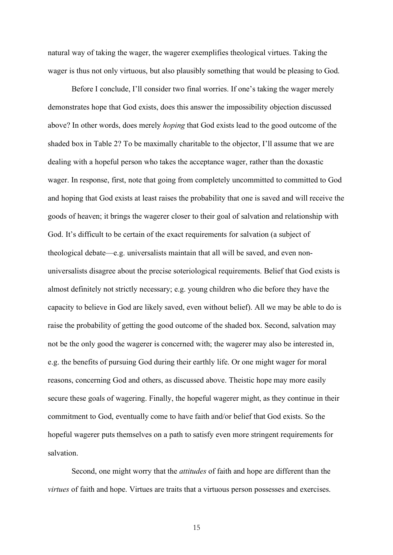natural way of taking the wager, the wagerer exemplifies theological virtues. Taking the wager is thus not only virtuous, but also plausibly something that would be pleasing to God.

Before I conclude, I'll consider two final worries. If one's taking the wager merely demonstrates hope that God exists, does this answer the impossibility objection discussed above? In other words, does merely *hoping* that God exists lead to the good outcome of the shaded box in Table 2? To be maximally charitable to the objector, I'll assume that we are dealing with a hopeful person who takes the acceptance wager, rather than the doxastic wager. In response, first, note that going from completely uncommitted to committed to God and hoping that God exists at least raises the probability that one is saved and will receive the goods of heaven; it brings the wagerer closer to their goal of salvation and relationship with God. It's difficult to be certain of the exact requirements for salvation (a subject of theological debate—e.g. universalists maintain that all will be saved, and even nonuniversalists disagree about the precise soteriological requirements. Belief that God exists is almost definitely not strictly necessary; e.g. young children who die before they have the capacity to believe in God are likely saved, even without belief). All we may be able to do is raise the probability of getting the good outcome of the shaded box. Second, salvation may not be the only good the wagerer is concerned with; the wagerer may also be interested in, e.g. the benefits of pursuing God during their earthly life. Or one might wager for moral reasons, concerning God and others, as discussed above. Theistic hope may more easily secure these goals of wagering. Finally, the hopeful wagerer might, as they continue in their commitment to God, eventually come to have faith and/or belief that God exists. So the hopeful wagerer puts themselves on a path to satisfy even more stringent requirements for salvation.

Second, one might worry that the *attitudes* of faith and hope are different than the *virtues* of faith and hope. Virtues are traits that a virtuous person possesses and exercises.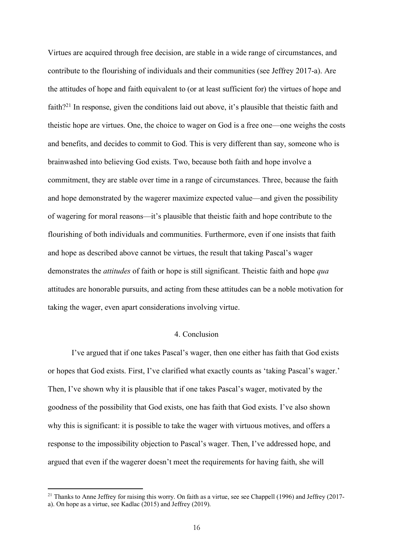Virtues are acquired through free decision, are stable in a wide range of circumstances, and contribute to the flourishing of individuals and their communities (see Jeffrey 2017-a). Are the attitudes of hope and faith equivalent to (or at least sufficient for) the virtues of hope and faith?21 In response, given the conditions laid out above, it's plausible that theistic faith and theistic hope are virtues. One, the choice to wager on God is a free one—one weighs the costs and benefits, and decides to commit to God. This is very different than say, someone who is brainwashed into believing God exists. Two, because both faith and hope involve a commitment, they are stable over time in a range of circumstances. Three, because the faith and hope demonstrated by the wagerer maximize expected value—and given the possibility of wagering for moral reasons—it's plausible that theistic faith and hope contribute to the flourishing of both individuals and communities. Furthermore, even if one insists that faith and hope as described above cannot be virtues, the result that taking Pascal's wager demonstrates the *attitudes* of faith or hope is still significant. Theistic faith and hope *qua* attitudes are honorable pursuits, and acting from these attitudes can be a noble motivation for taking the wager, even apart considerations involving virtue.

## 4. Conclusion

I've argued that if one takes Pascal's wager, then one either has faith that God exists or hopes that God exists. First, I've clarified what exactly counts as 'taking Pascal's wager.' Then, I've shown why it is plausible that if one takes Pascal's wager, motivated by the goodness of the possibility that God exists, one has faith that God exists. I've also shown why this is significant: it is possible to take the wager with virtuous motives, and offers a response to the impossibility objection to Pascal's wager. Then, I've addressed hope, and argued that even if the wagerer doesn't meet the requirements for having faith, she will

<sup>&</sup>lt;sup>21</sup> Thanks to Anne Jeffrey for raising this worry. On faith as a virtue, see see Chappell (1996) and Jeffrey (2017-

a). On hope as a virtue, see Kadlac (2015) and Jeffrey (2019).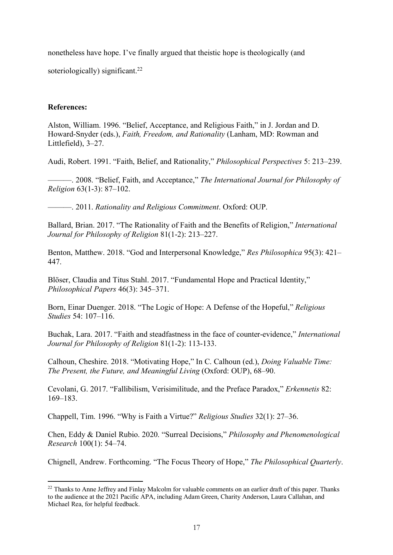nonetheless have hope. I've finally argued that theistic hope is theologically (and soteriologically) significant.<sup>22</sup>

# **References:**

 $\overline{a}$ 

Alston, William. 1996. "Belief, Acceptance, and Religious Faith," in J. Jordan and D. Howard-Snyder (eds.), *Faith, Freedom, and Rationality* (Lanham, MD: Rowman and Littlefield), 3–27.

Audi, Robert. 1991. "Faith, Belief, and Rationality," *Philosophical Perspectives* 5: 213–239.

———. 2008. "Belief, Faith, and Acceptance," *The International Journal for Philosophy of Religion* 63(1-3): 87–102.

———. 2011. *Rationality and Religious Commitment*. Oxford: OUP.

Ballard, Brian. 2017. "The Rationality of Faith and the Benefits of Religion," *International Journal for Philosophy of Religion* 81(1-2): 213–227.

Benton, Matthew. 2018. "God and Interpersonal Knowledge," *Res Philosophica* 95(3): 421– 447.

Blöser, Claudia and Titus Stahl. 2017. "Fundamental Hope and Practical Identity," *Philosophical Papers* 46(3): 345–371.

Born, Einar Duenger. 2018. "The Logic of Hope: A Defense of the Hopeful," *Religious Studies* 54: 107–116.

Buchak, Lara. 2017. "Faith and steadfastness in the face of counter-evidence," *International Journal for Philosophy of Religion* 81(1-2): 113-133.

Calhoun, Cheshire. 2018. "Motivating Hope," In C. Calhoun (ed.), *Doing Valuable Time: The Present, the Future, and Meaningful Living* (Oxford: OUP), 68–90.

Cevolani, G. 2017. "Fallibilism, Verisimilitude, and the Preface Paradox," *Erkennetis* 82: 169–183.

Chappell, Tim. 1996. "Why is Faith a Virtue?" *Religious Studies* 32(1): 27–36.

Chen, Eddy & Daniel Rubio. 2020. "Surreal Decisions," *Philosophy and Phenomenological Research* 100(1): 54–74.

Chignell, Andrew. Forthcoming. "The Focus Theory of Hope," *The Philosophical Quarterly*.

<sup>&</sup>lt;sup>22</sup> Thanks to Anne Jeffrey and Finlay Malcolm for valuable comments on an earlier draft of this paper. Thanks to the audience at the 2021 Pacific APA, including Adam Green, Charity Anderson, Laura Callahan, and Michael Rea, for helpful feedback.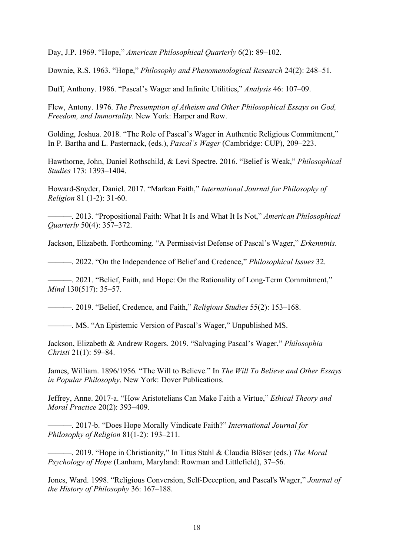Day, J.P. 1969. "Hope," *American Philosophical Quarterly* 6(2): 89–102.

Downie, R.S. 1963. "Hope," *Philosophy and Phenomenological Research* 24(2): 248–51.

Duff, Anthony. 1986. "Pascal's Wager and Infinite Utilities," *Analysis* 46: 107–09.

Flew, Antony. 1976. *The Presumption of Atheism and Other Philosophical Essays on God, Freedom, and Immortality.* New York: Harper and Row.

Golding, Joshua. 2018. "The Role of Pascal's Wager in Authentic Religious Commitment," In P. Bartha and L. Pasternack, (eds*.*), *Pascal's Wager* (Cambridge: CUP), 209–223.

Hawthorne, John, Daniel Rothschild, & Levi Spectre. 2016. "Belief is Weak," *Philosophical Studies* 173: 1393–1404.

Howard-Snyder, Daniel. 2017. "Markan Faith," *International Journal for Philosophy of Religion* 81 (1-2): 31-60.

———. 2013. "Propositional Faith: What It Is and What It Is Not," *American Philosophical Quarterly* 50(4): 357–372.

Jackson, Elizabeth. Forthcoming. "A Permissivist Defense of Pascal's Wager," *Erkenntnis*.

———. 2022. "On the Independence of Belief and Credence," *Philosophical Issues* 32.

———. 2021. "Belief, Faith, and Hope: On the Rationality of Long-Term Commitment," *Mind* 130(517): 35–57.

———. 2019. "Belief, Credence, and Faith," *Religious Studies* 55(2): 153–168.

———. MS. "An Epistemic Version of Pascal's Wager," Unpublished MS.

Jackson, Elizabeth & Andrew Rogers. 2019. "Salvaging Pascal's Wager," *Philosophia Christi* 21(1): 59–84.

James, William. 1896/1956. "The Will to Believe." In *The Will To Believe and Other Essays in Popular Philosophy*. New York: Dover Publications.

Jeffrey, Anne. 2017-a. "How Aristotelians Can Make Faith a Virtue," *Ethical Theory and Moral Practice* 20(2): 393–409.

———. 2017-b. "Does Hope Morally Vindicate Faith?" *International Journal for Philosophy of Religion* 81(1-2): 193–211.

———. 2019. "Hope in Christianity," In Titus Stahl & Claudia Blöser (eds.) *The Moral Psychology of Hope* (Lanham, Maryland: Rowman and Littlefield), 37–56.

Jones, Ward. 1998. "Religious Conversion, Self-Deception, and Pascal's Wager," *Journal of the History of Philosophy* 36: 167–188.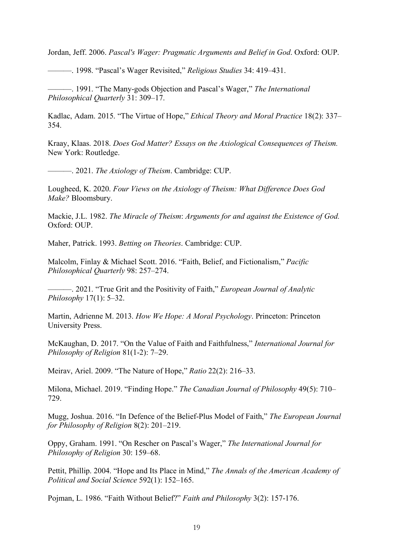Jordan, Jeff. 2006. *Pascal's Wager: Pragmatic Arguments and Belief in God*. Oxford: OUP.

———. 1998. "Pascal's Wager Revisited," *Religious Studies* 34: 419–431.

———. 1991. "The Many-gods Objection and Pascal's Wager," *The International Philosophical Quarterly* 31: 309–17.

Kadlac, Adam. 2015. "The Virtue of Hope," *Ethical Theory and Moral Practice* 18(2): 337– 354.

Kraay, Klaas. 2018. *Does God Matter? Essays on the Axiological Consequences of Theism.* New York: Routledge.

———. 2021. *The Axiology of Theism*. Cambridge: CUP.

Lougheed, K. 2020. *Four Views on the Axiology of Theism: What Difference Does God Make?* Bloomsbury.

Mackie, J.L. 1982. *The Miracle of Theism*: *Arguments for and against the Existence of God.* Oxford: OUP.

Maher, Patrick. 1993. *Betting on Theories*. Cambridge: CUP.

Malcolm, Finlay & Michael Scott. 2016. "Faith, Belief, and Fictionalism," *Pacific Philosophical Quarterly* 98: 257–274.

———. 2021. "True Grit and the Positivity of Faith," *European Journal of Analytic Philosophy* 17(1): 5–32.

Martin, Adrienne M. 2013. *How We Hope: A Moral Psychology*. Princeton: Princeton University Press.

McKaughan, D. 2017. "On the Value of Faith and Faithfulness," *International Journal for Philosophy of Religion* 81(1-2): 7–29.

Meirav, Ariel. 2009. "The Nature of Hope," *Ratio* 22(2): 216–33.

Milona, Michael. 2019. "Finding Hope." *The Canadian Journal of Philosophy* 49(5): 710– 729.

Mugg, Joshua. 2016. "In Defence of the Belief-Plus Model of Faith," *The European Journal for Philosophy of Religion* 8(2): 201–219.

Oppy, Graham. 1991. "On Rescher on Pascal's Wager," *The International Journal for Philosophy of Religion* 30: 159–68.

Pettit, Phillip. 2004. "Hope and Its Place in Mind," *The Annals of the American Academy of Political and Social Science* 592(1): 152–165.

Pojman, L. 1986. "Faith Without Belief?" *Faith and Philosophy* 3(2): 157-176.